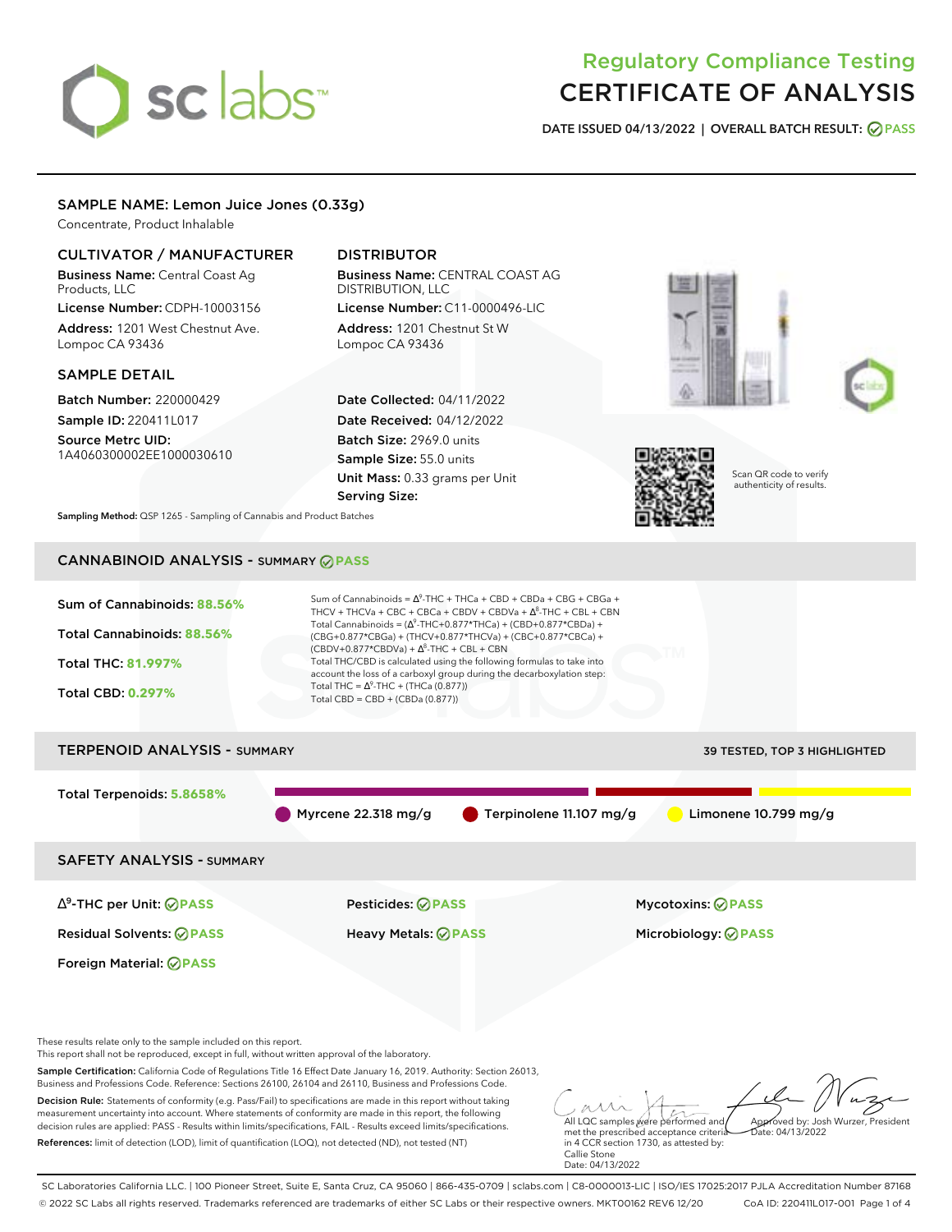# sclabs<sup>\*</sup>

# Regulatory Compliance Testing CERTIFICATE OF ANALYSIS

**DATE ISSUED 04/13/2022 | OVERALL BATCH RESULT: PASS**

# SAMPLE NAME: Lemon Juice Jones (0.33g)

Concentrate, Product Inhalable

# CULTIVATOR / MANUFACTURER

Business Name: Central Coast Ag Products, LLC

License Number: CDPH-10003156 Address: 1201 West Chestnut Ave. Lompoc CA 93436

# SAMPLE DETAIL

Batch Number: 220000429 Sample ID: 220411L017

Source Metrc UID: 1A4060300002EE1000030610

# DISTRIBUTOR

Business Name: CENTRAL COAST AG DISTRIBUTION, LLC License Number: C11-0000496-LIC

Address: 1201 Chestnut St W Lompoc CA 93436

Date Collected: 04/11/2022 Date Received: 04/12/2022 Batch Size: 2969.0 units Sample Size: 55.0 units Unit Mass: 0.33 grams per Unit Serving Size:







Scan QR code to verify authenticity of results.

**Sampling Method:** QSP 1265 - Sampling of Cannabis and Product Batches

# CANNABINOID ANALYSIS - SUMMARY **PASS**



References: limit of detection (LOD), limit of quantification (LOQ), not detected (ND), not tested (NT)

met the prescribed acceptance criteria in 4 CCR section 1730, as attested by: Callie Stone Date: 04/13/2022

SC Laboratories California LLC. | 100 Pioneer Street, Suite E, Santa Cruz, CA 95060 | 866-435-0709 | sclabs.com | C8-0000013-LIC | ISO/IES 17025:2017 PJLA Accreditation Number 87168 © 2022 SC Labs all rights reserved. Trademarks referenced are trademarks of either SC Labs or their respective owners. MKT00162 REV6 12/20 CoA ID: 220411L017-001 Page 1 of 4